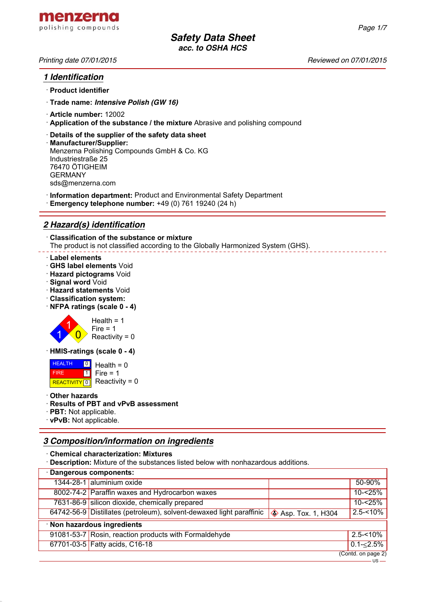

## *1 Identification*

- · **Product identifier**
- · **Trade name:** *Intensive Polish (GW 16)*
- · **Article number:** 12002
- · **Application of the substance / the mixture** Abrasive and polishing compound
- · **Details of the supplier of the safety data sheet**
- · **Manufacturer/Supplier:** Menzerna Polishing Compounds GmbH & Co. KG Industriestraße 25 76470 ÖTIGHEIM GERMANY sds@menzerna.com
- · **Information department:** Product and Environmental Safety Department
- · **Emergency telephone number:** +49 (0) 761 19240 (24 h)

# *2 Hazard(s) identification*

· **Classification of the substance or mixture** The product is not classified according to the Globally Harmonized System (GHS).

#### · **Label elements**

- · **GHS label elements** Void
- · **Hazard pictograms** Void
- · **Signal word** Void
- · **Hazard statements** Void
- · **Classification system:**
- · **NFPA ratings (scale 0 4)**



· **HMIS-ratings (scale 0 - 4)**

 HEALTH FIRE REACTIVITY  $\boxed{0}$  Reactivity = 0 <u>이</u> Health = 0  $\overline{1}$  $Fire = 1$ 

· **Other hazards**

#### · **Results of PBT and vPvB assessment**

- · **PBT:** Not applicable.
- · **vPvB:** Not applicable.

# *3 Composition/information on ingredients*

· **Chemical characterization: Mixtures**

· **Description:** Mixture of the substances listed below with nonhazardous additions.

| · Dangerous components:     |                                                                      |                              |               |  |
|-----------------------------|----------------------------------------------------------------------|------------------------------|---------------|--|
|                             | 1344-28-1 aluminium oxide                                            |                              | 50-90%        |  |
|                             | 8002-74-2 Paraffin waxes and Hydrocarbon waxes                       |                              | 10-<25%       |  |
|                             | 7631-86-9 silicon dioxide, chemically prepared                       |                              | 10-<25%       |  |
|                             | 64742-56-9 Distillates (petroleum), solvent-dewaxed light paraffinic | $\diamond$ Asp. Tox. 1, H304 | $2.5 - 10\%$  |  |
| · Non hazardous ingredients |                                                                      |                              |               |  |
|                             | 91081-53-7 Rosin, reaction products with Formaldehyde                |                              | $2.5 - 10\%$  |  |
|                             | 67701-03-5 Fatty acids, C16-18                                       |                              | $0.1 - 2.5\%$ |  |
| (Contd. on page 2)          |                                                                      |                              |               |  |

 $\overline{US}$  —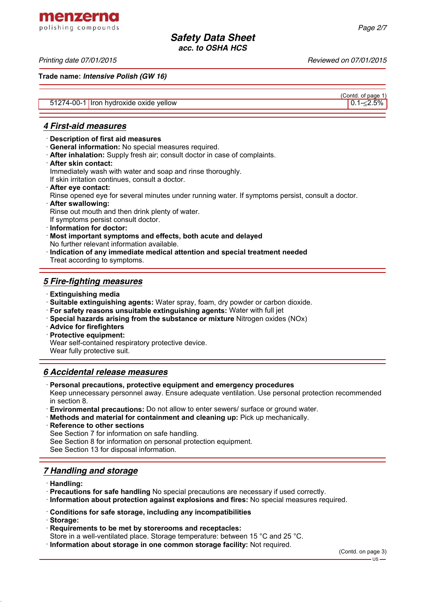**Trade name:** *Intensive Polish (GW 16)*

|                                        | TUUHU. UI DAYG 1 |
|----------------------------------------|------------------|
| 51274-00-1 Iron hydroxide oxide yellow | $0.1 - 2.5%$     |

### *4 First-aid measures*

- · **Description of first aid measures**
- · **General information:** No special measures required.
- · **After inhalation:** Supply fresh air; consult doctor in case of complaints.
- · **After skin contact:**

Immediately wash with water and soap and rinse thoroughly.

If skin irritation continues, consult a doctor.

· **After eye contact:**

Rinse opened eye for several minutes under running water. If symptoms persist, consult a doctor.

· **After swallowing:**

Rinse out mouth and then drink plenty of water.

If symptoms persist consult doctor.

- · **Information for doctor:**
- · **Most important symptoms and effects, both acute and delayed** No further relevant information available.
- · **Indication of any immediate medical attention and special treatment needed** Treat according to symptoms.

## *5 Fire-fighting measures*

- · **Extinguishing media**
- · **Suitable extinguishing agents:** Water spray, foam, dry powder or carbon dioxide.
- · **For safety reasons unsuitable extinguishing agents:** Water with full jet
- · **Special hazards arising from the substance or mixture** Nitrogen oxides (NOx)
- · **Advice for firefighters**
- · **Protective equipment:**

Wear self-contained respiratory protective device.

Wear fully protective suit.

## *6 Accidental release measures*

· **Personal precautions, protective equipment and emergency procedures**

Keep unnecessary personnel away. Ensure adequate ventilation. Use personal protection recommended in section 8.

- · **Environmental precautions:** Do not allow to enter sewers/ surface or ground water.
- · **Methods and material for containment and cleaning up:** Pick up mechanically.
- **Reference to other sections**

See Section 7 for information on safe handling.

See Section 8 for information on personal protection equipment.

See Section 13 for disposal information.

# *7 Handling and storage*

- · **Handling:**
- · **Precautions for safe handling** No special precautions are necessary if used correctly.
- · **Information about protection against explosions and fires:** No special measures required.
- · **Conditions for safe storage, including any incompatibilities**
- · **Storage:**
- · **Requirements to be met by storerooms and receptacles:**
- Store in a well-ventilated place. Storage temperature: between 15 °C and 25 °C.
- · **Information about storage in one common storage facility:** Not required.

(Contd. of page 1)

menzerna polishing compounds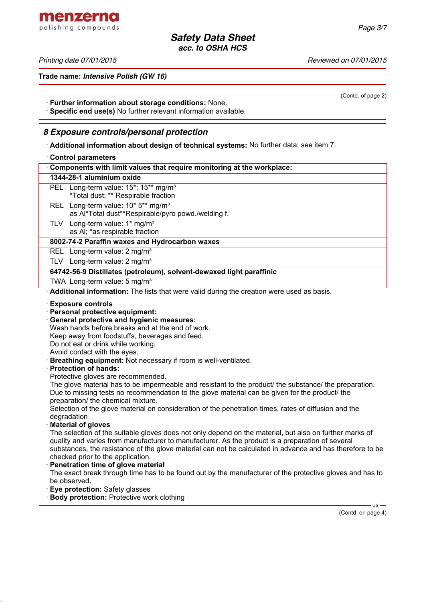(Contd. of page 2)

*Safety Data Sheet acc. to OSHA HCS*

menzerna polishing compounds

*Printing date 07/01/2015 Reviewed on 07/01/2015*

**Trade name:** *Intensive Polish (GW 16)*

· **Further information about storage conditions:** None.

· **Specific end use(s)** No further relevant information available.

## *8 Exposure controls/personal protection*

· **Additional information about design of technical systems:** No further data; see item 7.

#### · **Control parameters**

|                             | Components with limit values that require monitoring at the workplace:                                                                                                                                                                                                                                                                                                                                                                                                                                                                                                                                                                                                                                                                                                                                                                                                                                                                                                                                                                                                                                                                                                                                                                                                                                                                                                                                                        |
|-----------------------------|-------------------------------------------------------------------------------------------------------------------------------------------------------------------------------------------------------------------------------------------------------------------------------------------------------------------------------------------------------------------------------------------------------------------------------------------------------------------------------------------------------------------------------------------------------------------------------------------------------------------------------------------------------------------------------------------------------------------------------------------------------------------------------------------------------------------------------------------------------------------------------------------------------------------------------------------------------------------------------------------------------------------------------------------------------------------------------------------------------------------------------------------------------------------------------------------------------------------------------------------------------------------------------------------------------------------------------------------------------------------------------------------------------------------------------|
|                             | 1344-28-1 aluminium oxide                                                                                                                                                                                                                                                                                                                                                                                                                                                                                                                                                                                                                                                                                                                                                                                                                                                                                                                                                                                                                                                                                                                                                                                                                                                                                                                                                                                                     |
|                             | PEL Long-term value: 15*; 15** mg/m <sup>3</sup><br>*Total dust; ** Respirable fraction                                                                                                                                                                                                                                                                                                                                                                                                                                                                                                                                                                                                                                                                                                                                                                                                                                                                                                                                                                                                                                                                                                                                                                                                                                                                                                                                       |
| <b>REL</b>                  | Long-term value: 10* 5** mg/m <sup>3</sup><br>as Al*Total dust**Respirable/pyro powd./welding f.                                                                                                                                                                                                                                                                                                                                                                                                                                                                                                                                                                                                                                                                                                                                                                                                                                                                                                                                                                                                                                                                                                                                                                                                                                                                                                                              |
| <b>TLV</b>                  | Long-term value: 1* mg/m <sup>3</sup><br>as AI; *as respirable fraction                                                                                                                                                                                                                                                                                                                                                                                                                                                                                                                                                                                                                                                                                                                                                                                                                                                                                                                                                                                                                                                                                                                                                                                                                                                                                                                                                       |
|                             | 8002-74-2 Paraffin waxes and Hydrocarbon waxes                                                                                                                                                                                                                                                                                                                                                                                                                                                                                                                                                                                                                                                                                                                                                                                                                                                                                                                                                                                                                                                                                                                                                                                                                                                                                                                                                                                |
|                             | REL Long-term value: 2 mg/m <sup>3</sup>                                                                                                                                                                                                                                                                                                                                                                                                                                                                                                                                                                                                                                                                                                                                                                                                                                                                                                                                                                                                                                                                                                                                                                                                                                                                                                                                                                                      |
|                             | TLV   Long-term value: $2 \text{ mg/m}^3$                                                                                                                                                                                                                                                                                                                                                                                                                                                                                                                                                                                                                                                                                                                                                                                                                                                                                                                                                                                                                                                                                                                                                                                                                                                                                                                                                                                     |
|                             | 64742-56-9 Distillates (petroleum), solvent-dewaxed light paraffinic                                                                                                                                                                                                                                                                                                                                                                                                                                                                                                                                                                                                                                                                                                                                                                                                                                                                                                                                                                                                                                                                                                                                                                                                                                                                                                                                                          |
|                             | TWA Long-term value: 5 mg/m <sup>3</sup>                                                                                                                                                                                                                                                                                                                                                                                                                                                                                                                                                                                                                                                                                                                                                                                                                                                                                                                                                                                                                                                                                                                                                                                                                                                                                                                                                                                      |
|                             | Additional information: The lists that were valid during the creation were used as basis.                                                                                                                                                                                                                                                                                                                                                                                                                                                                                                                                                                                                                                                                                                                                                                                                                                                                                                                                                                                                                                                                                                                                                                                                                                                                                                                                     |
| degradation<br>be observed. | <b>Exposure controls</b><br>· Personal protective equipment:<br>General protective and hygienic measures:<br>Wash hands before breaks and at the end of work.<br>Keep away from foodstuffs, beverages and feed.<br>Do not eat or drink while working.<br>Avoid contact with the eyes.<br>Breathing equipment: Not necessary if room is well-ventilated.<br><b>Protection of hands:</b><br>Protective gloves are recommended.<br>The glove material has to be impermeable and resistant to the product/ the substance/ the preparation.<br>Due to missing tests no recommendation to the glove material can be given for the product/ the<br>preparation/ the chemical mixture.<br>Selection of the glove material on consideration of the penetration times, rates of diffusion and the<br><b>Material of gloves</b><br>The selection of the suitable gloves does not only depend on the material, but also on further marks of<br>quality and varies from manufacturer to manufacturer. As the product is a preparation of several<br>substances, the resistance of the glove material can not be calculated in advance and has therefore to be<br>checked prior to the application.<br>Penetration time of glove material<br>The exact break through time has to be found out by the manufacturer of the protective gloves and has to<br>Eye protection: Safety glasses<br><b>Body protection: Protective work clothing</b> |

(Contd. on page 4)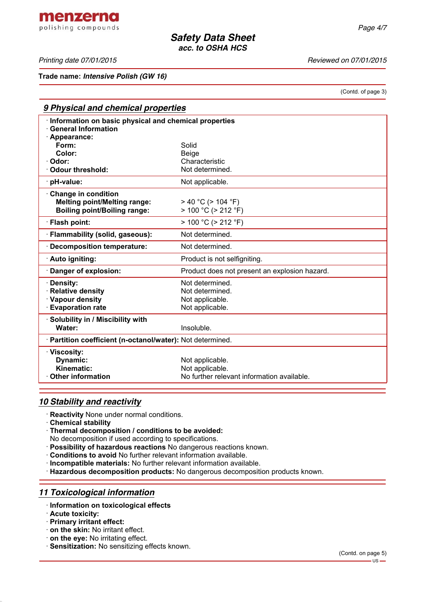menzerna polishing compounds

*Printing date 07/01/2015 Reviewed on 07/01/2015*

**Trade name:** *Intensive Polish (GW 16)*

(Contd. of page 3)

| 9 Physical and chemical properties                                                  |                                               |  |  |  |
|-------------------------------------------------------------------------------------|-----------------------------------------------|--|--|--|
| Information on basic physical and chemical properties<br><b>General Information</b> |                                               |  |  |  |
| Appearance:                                                                         |                                               |  |  |  |
| Form:<br>Color:                                                                     | Solid                                         |  |  |  |
| Odor:                                                                               | <b>Beige</b><br>Characteristic                |  |  |  |
| <b>Odour threshold:</b>                                                             | Not determined.                               |  |  |  |
| · pH-value:                                                                         | Not applicable.                               |  |  |  |
| Change in condition                                                                 |                                               |  |  |  |
| <b>Melting point/Melting range:</b>                                                 | $>$ 40 °C ( $>$ 104 °F)                       |  |  |  |
| <b>Boiling point/Boiling range:</b>                                                 | $> 100 °C$ ( $> 212 °F$ )                     |  |  |  |
| · Flash point:                                                                      | $> 100 °C$ ( $> 212 °F$ )                     |  |  |  |
| · Flammability (solid, gaseous):                                                    | Not determined.                               |  |  |  |
| · Decomposition temperature:                                                        | Not determined.                               |  |  |  |
| · Auto igniting:                                                                    | Product is not selfigniting.                  |  |  |  |
| Danger of explosion:                                                                | Product does not present an explosion hazard. |  |  |  |
| · Density:                                                                          | Not determined.                               |  |  |  |
| · Relative density                                                                  | Not determined.                               |  |  |  |
| · Vapour density                                                                    | Not applicable.                               |  |  |  |
| <b>Evaporation rate</b>                                                             | Not applicable.                               |  |  |  |
| Solubility in / Miscibility with                                                    |                                               |  |  |  |
| Water:                                                                              | Insoluble.                                    |  |  |  |
| · Partition coefficient (n-octanol/water): Not determined.                          |                                               |  |  |  |
| · Viscosity:                                                                        |                                               |  |  |  |
| Dynamic:                                                                            | Not applicable.                               |  |  |  |
| Kinematic:                                                                          | Not applicable.                               |  |  |  |
| $\cdot$ Other information                                                           | No further relevant information available.    |  |  |  |

### *10 Stability and reactivity*

- · **Reactivity** None under normal conditions.
- · **Chemical stability**
- · **Thermal decomposition / conditions to be avoided:**
- No decomposition if used according to specifications.
- · **Possibility of hazardous reactions** No dangerous reactions known.
- · **Conditions to avoid** No further relevant information available.
- · **Incompatible materials:** No further relevant information available.
- · **Hazardous decomposition products:** No dangerous decomposition products known.

## *11 Toxicological information*

- · **Information on toxicological effects**
- · **Acute toxicity:**
- · **Primary irritant effect:**
- · **on the skin:** No irritant effect.
- · **on the eye:** No irritating effect.
- · **Sensitization:** No sensitizing effects known.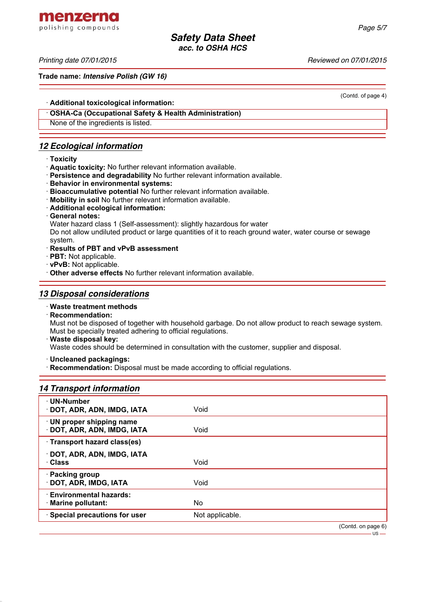menzerna polishing compounds

*Printing date 07/01/2015 Reviewed on 07/01/2015*

**Trade name:** *Intensive Polish (GW 16)*

(Contd. of page 4)

· **Additional toxicological information:**

· **OSHA-Ca (Occupational Safety & Health Administration)**

None of the ingredients is listed.

# *12 Ecological information*

- · **Toxicity**
- · **Aquatic toxicity:** No further relevant information available.
- · **Persistence and degradability** No further relevant information available.
- · **Behavior in environmental systems:**
- · **Bioaccumulative potential** No further relevant information available.
- · **Mobility in soil** No further relevant information available.
- · **Additional ecological information:**
- · **General notes:**

Water hazard class 1 (Self-assessment): slightly hazardous for water

Do not allow undiluted product or large quantities of it to reach ground water, water course or sewage system.

- · **Results of PBT and vPvB assessment**
- · **PBT:** Not applicable.
- · **vPvB:** Not applicable.

· **Other adverse effects** No further relevant information available.

## *13 Disposal considerations*

#### · **Waste treatment methods**

· **Recommendation:**

Must not be disposed of together with household garbage. Do not allow product to reach sewage system. Must be specially treated adhering to official regulations.

· **Waste disposal key:**

Waste codes should be determined in consultation with the customer, supplier and disposal.

· **Uncleaned packagings:**

· **Recommendation:** Disposal must be made according to official regulations.

## *14 Transport information*

| · UN-Number<br>· DOT, ADR, ADN, IMDG, IATA               | Void            |                 |
|----------------------------------------------------------|-----------------|-----------------|
| · UN proper shipping name<br>· DOT, ADR, ADN, IMDG, IATA | Void            |                 |
| · Transport hazard class(es)                             |                 |                 |
| · DOT, ADR, ADN, IMDG, IATA<br>· Class                   | Void            |                 |
| · Packing group<br>· DOT, ADR, IMDG, IATA                | Void            |                 |
| · Environmental hazards:<br>· Marine pollutant:          | No.             |                 |
| · Special precautions for user                           | Not applicable. |                 |
|                                                          |                 | (Contdonnone 6) |

(Contd. on page 6)  $-US -$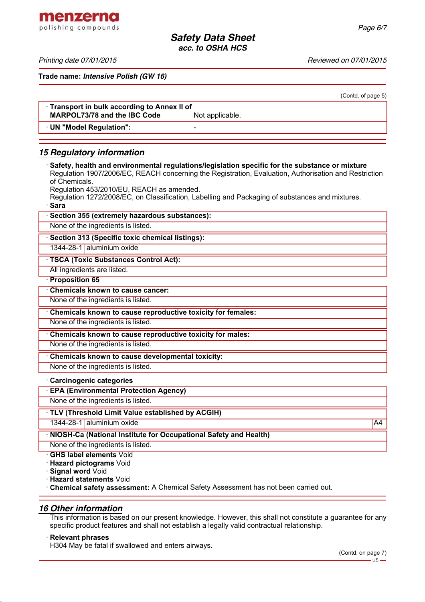menzerna polishing compounds

*Printing date 07/01/2015 Reviewed on 07/01/2015*

**Trade name:** *Intensive Polish (GW 16)*

|                                                                                                                                                                                                                          | (Contd. of page 5) |
|--------------------------------------------------------------------------------------------------------------------------------------------------------------------------------------------------------------------------|--------------------|
| Transport in bulk according to Annex II of                                                                                                                                                                               |                    |
| <b>MARPOL73/78 and the IBC Code</b><br>Not applicable.                                                                                                                                                                   |                    |
| · UN "Model Regulation":                                                                                                                                                                                                 |                    |
| <b>15 Regulatory information</b>                                                                                                                                                                                         |                    |
| Safety, health and environmental regulations/legislation specific for the substance or mixture<br>Regulation 1907/2006/EC, REACH concerning the Registration, Evaluation, Authorisation and Restriction<br>of Chemicals. |                    |
| Regulation 453/2010/EU, REACH as amended.<br>Regulation 1272/2008/EC, on Classification, Labelling and Packaging of substances and mixtures.<br>· Sara                                                                   |                    |
| · Section 355 (extremely hazardous substances):                                                                                                                                                                          |                    |
| None of the ingredients is listed.                                                                                                                                                                                       |                    |
| · Section 313 (Specific toxic chemical listings):                                                                                                                                                                        |                    |
| 1344-28-1 aluminium oxide                                                                                                                                                                                                |                    |
| <b>TSCA (Toxic Substances Control Act):</b>                                                                                                                                                                              |                    |
| All ingredients are listed.                                                                                                                                                                                              |                    |
| · Proposition 65                                                                                                                                                                                                         |                    |
| <b>Chemicals known to cause cancer:</b>                                                                                                                                                                                  |                    |
| None of the ingredients is listed.                                                                                                                                                                                       |                    |
| Chemicals known to cause reproductive toxicity for females:                                                                                                                                                              |                    |
| None of the ingredients is listed.                                                                                                                                                                                       |                    |
| Chemicals known to cause reproductive toxicity for males:                                                                                                                                                                |                    |
| None of the ingredients is listed.                                                                                                                                                                                       |                    |
| Chemicals known to cause developmental toxicity:                                                                                                                                                                         |                    |
| None of the ingredients is listed.                                                                                                                                                                                       |                    |
| Carcinogenic categories                                                                                                                                                                                                  |                    |
| <b>EPA (Environmental Protection Agency)</b>                                                                                                                                                                             |                    |
| None of the ingredients is listed.                                                                                                                                                                                       |                    |
| · TLV (Threshold Limit Value established by ACGIH)                                                                                                                                                                       |                    |
| 1344-28-1 aluminium oxide                                                                                                                                                                                                | A4                 |
| NIOSH-Ca (National Institute for Occupational Safety and Health)                                                                                                                                                         |                    |
| None of the ingredients is listed.                                                                                                                                                                                       |                    |
| <b>GHS label elements Void</b>                                                                                                                                                                                           |                    |
| · Hazard pictograms Void                                                                                                                                                                                                 |                    |

· **Signal word** Void

· **Hazard statements** Void

· **Chemical safety assessment:** A Chemical Safety Assessment has not been carried out.

#### *16 Other information*

This information is based on our present knowledge. However, this shall not constitute a guarantee for any specific product features and shall not establish a legally valid contractual relationship.

#### · **Relevant phrases**

H304 May be fatal if swallowed and enters airways.